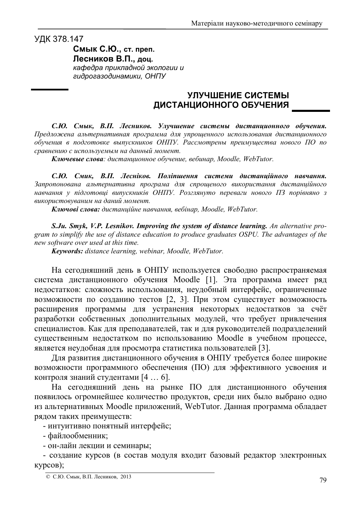УДК 378.147

Смык С.Ю., ст. преп. Лесников В.П., доц. кафедра прикладной экологии и гидрогазодинамики, ОНПУ

## УЛУЧШЕНИЕ СИСТЕМЫ ДИСТАНЦИОННОГО ОБУЧЕНИЯ

С.Ю. Смык, В.П. Лесников. Улучшение системы дистанционного обучения. Предложена альтернативная программа для упрощенного использования дистанционного обучения в подготовке выпускников ОНПУ. Рассмотрены преимущества нового ПО по сравнению с используемым на данный момент.

Ключевые слова: дистанционное обучение, вебинар, Moodle, WebTutor.

С.Ю. Смик, В.П. Лесніков. Поліпшення системи дистанційного навчання. Запропонована альтернативна програма для спрощеного використання дистанційного навчання у підготовці випускників ОНПУ. Розглянуто переваги нового ПЗ порівняно з використовуваним на даний момент.

Ключові слова: дистаниійне навчання, вебінар, Moodle, WebTutor,

S. Ju. Smyk, V.P. Lesnikov. Improving the system of distance learning. An alternative program to simplify the use of distance education to produce graduates OSPU. The advantages of the new software over used at this time.

Keywords: distance learning, webinar, Moodle, WebTutor.

На сегодняшний день в ОНПУ используется свободно распространяемая система дистанционного обучения Moodle [1]. Эта программа имеет ряд недостатков: сложность использования, неудобный интерфейс, ограниченные возможности по созданию тестов [2, 3]. При этом существует возможность расширения программы для устранения некоторых недостатков за счёт разработки собственных дополнительных модулей, что требует привлечения специалистов. Как для преподавателей, так и для руководителей подразделений существенным недостатком по использованию Moodle в учебном процессе, является неудобная для просмотра статистика пользователей [3].

Для развития дистанционного обучения в ОНПУ требуется более широкие возможности программного обеспечения (ПО) для эффективного усвоения и контроля знаний студентами [4 ... 6].

На сегодняшний день на рынке ПО для дистанционного обучения появилось огромнейшее количество продуктов, среди них было выбрано одно из альтернативных Moodle приложений, WebTutor. Данная программа обладает рядом таких преимуществ:

- интуитивно понятный интерфейс;

- файлообменник;

- он-лайн лекции и семинары;

- создание курсов (в состав модуля входит базовый редактор электронных  $KypoOB$ );

<sup>©</sup> С.Ю. Смык, В.П. Лесников, 2013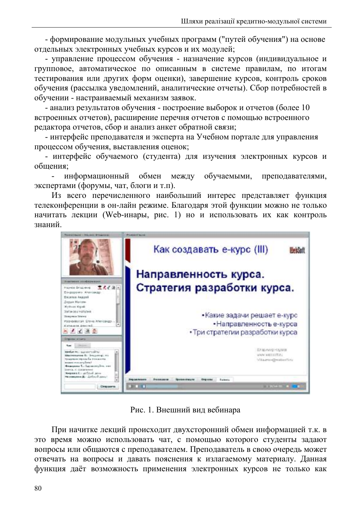- формирование модульных учебных программ ("путей обучения") на основе отдельных электронных учебных курсов и их модулей;

- управление процессом обучения - назначение курсов (индивидуальное и групповое, автоматическое по описанным в системе правилам, по итогам тестирования или других форм оценки), завершение курсов, контроль сроков обучения (рассылка уведомлений, аналитические отчеты). Сбор потребностей в обучении - настраиваемый механизм заявок.

- анализ результатов обучения - построение выборок и отчетов (более 10 встроенных отчетов), расширение перечня отчетов с помощью встроенного редактора отчетов, сбор и анализ анкет обратной связи;

- интерфейс преподавателя и эксперта на Учебном портале для управления процессом обучения, выставления оценок;

- интерфейс обучаемого (студента) для изучения электронных курсов и обшения:

информационный обмен между обучаемыми. преподавателями, экспертами (форумы, чат, блоги и т.п).

Из всего перечисленного наибольший интерес представляет функция телеконференции в он-лайн режиме. Благодаря этой функции можно не только начитать лекции (Web-инары, рис. 1) но и использовать их как контроль знаний



Рис. 1. Внешний вид вебинара

При начитке лекций происходит двухсторонний обмен информацией т.к. в это время можно использовать чат, с помощью которого студенты задают вопросы или общаются с преподавателем. Преподаватель в свою очередь может отвечать на вопросы и давать пояснения к излагаемому материалу. Данная функция даёт возможность применения электронных курсов не только как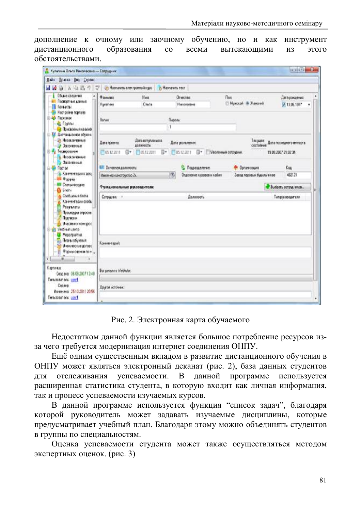дополнение к очному или заочному обучению, но и как инструмент образования дистанционного всеми вытекающими ЭТОГО  $\rm{co}$ **ИЗ** обстоятельствами.

| Прика Цил Сервис<br><b>Baks</b>                                                                                                                                                                                                                                                                                                                                                                                                                                                                                                                                                                                                    |                                                         |                                 |                                |                           |                          |
|------------------------------------------------------------------------------------------------------------------------------------------------------------------------------------------------------------------------------------------------------------------------------------------------------------------------------------------------------------------------------------------------------------------------------------------------------------------------------------------------------------------------------------------------------------------------------------------------------------------------------------|---------------------------------------------------------|---------------------------------|--------------------------------|---------------------------|--------------------------|
| 五日西のマ<br>W. M                                                                                                                                                                                                                                                                                                                                                                                                                                                                                                                                                                                                                      | // Навчикль электронный курс                            |                                 | И Назначить тест               |                           |                          |
| Общие сведения                                                                                                                                                                                                                                                                                                                                                                                                                                                                                                                                                                                                                     | <b><i><u>O annunce</u></i></b>                          | Hour                            | <b>Orwectes</b>                | Пох                       | <b>Дагарождения</b>      |
| Паспортные данные<br><b>Бонтакты</b><br>Настройки портала<br><b>(1) 424 Персонал</b><br><b>CE Forma</b><br><b>Gr Toychomen reansol</b><br>(3) 25 Диставшанное обуван-<br><b>Conformation</b><br>- Законные<br>И Теспервание<br>В Незаконенные<br>Валиные<br><b>EL THE TIOCORA</b><br>- Хоннентарин к дою<br><b>Bill Supper</b><br><b>ВШ</b> Статьи формы<br><b>B</b> 50004<br>O Condumerations<br>Коничентарин сообщ<br>۵<br>Результаты<br>Процессом опросов:<br>Подпиские<br><i><u>Настиналожерос</u></i><br><b>Usofrestumm</b><br><b>CE</b> Mepargusmus<br><b>Сан Планы обучения</b><br>U-w-u-elcase gorces:<br>Формы одним гол- | Euromeen                                                | Once                            | Николаевы                      | © Мукской / Ж.Женочий     | 7 13 08 1977             |
|                                                                                                                                                                                                                                                                                                                                                                                                                                                                                                                                                                                                                                    | florum:                                                 |                                 | Пароль:                        |                           |                          |
|                                                                                                                                                                                                                                                                                                                                                                                                                                                                                                                                                                                                                                    |                                                         |                                 |                                |                           |                          |
|                                                                                                                                                                                                                                                                                                                                                                                                                                                                                                                                                                                                                                    | Дата приема:                                            | Дага вступления в<br>должность: | Дата урольнички.               | Тинуция<br>состояние      | Дини постадните имперта. |
|                                                                                                                                                                                                                                                                                                                                                                                                                                                                                                                                                                                                                                    | 05122011                                                | 日 日本122011<br>日*                | 70312201<br>ß۳                 | Иволенные сотрудник       | 19.09.2007.21:02:34      |
|                                                                                                                                                                                                                                                                                                                                                                                                                                                                                                                                                                                                                                    | <b>ИЛ Основноя должность:</b>                           |                                 | Подводеление:                  | <sup>O</sup> Opravesages  | Kaa                      |
|                                                                                                                                                                                                                                                                                                                                                                                                                                                                                                                                                                                                                                    | Инхимо канструктор Эх.                                  |                                 | m<br>Отделение хуровов и кабин | Завод паровых будильников | 482121                   |
|                                                                                                                                                                                                                                                                                                                                                                                                                                                                                                                                                                                                                                    | <b>Chocom</b> comparence<br>Фундиональные руковарители: |                                 |                                |                           |                          |
|                                                                                                                                                                                                                                                                                                                                                                                                                                                                                                                                                                                                                                    | Corpogress.<br>Далюнить.                                |                                 |                                |                           | <b>Типруковантеля</b>    |
|                                                                                                                                                                                                                                                                                                                                                                                                                                                                                                                                                                                                                                    | Конневано                                               |                                 |                                |                           |                          |
| $-10$<br>Kertowa<br>Создвих 06.09.2007 13:48<br><b>Пользователь: untril</b><br>Cepseti<br>Ионеника 2510.2011 20:56<br><b>Floridate and research</b>                                                                                                                                                                                                                                                                                                                                                                                                                                                                                | Bu sonsoro Weblutor.<br>Пругой источни:                 |                                 |                                |                           |                          |

Рис. 2. Электронная карта обучаемого

Недостатком данной функции является большое потребление ресурсов изза чего требуется модернизация интернет соединения ОНПУ.

Ещё одним существенным вкладом в развитие дистанционного обучения в ОНПУ может являться электронный деканат (рис. 2), база данных студентов успеваемости. В данной программе отслеживания используется лля расширенная статистика студента, в которую входит как личная информация, так и процесс успеваемости изучаемых курсов.

В данной программе используется функция "список задач", благодаря которой руководитель может задавать изучаемые дисциплины, которые предусматривает учебный план. Благодаря этому можно объединять студентов в группы по специальностям.

Оценка успеваемости студента может также осуществляться методом экспертных оценок. (рис. 3)